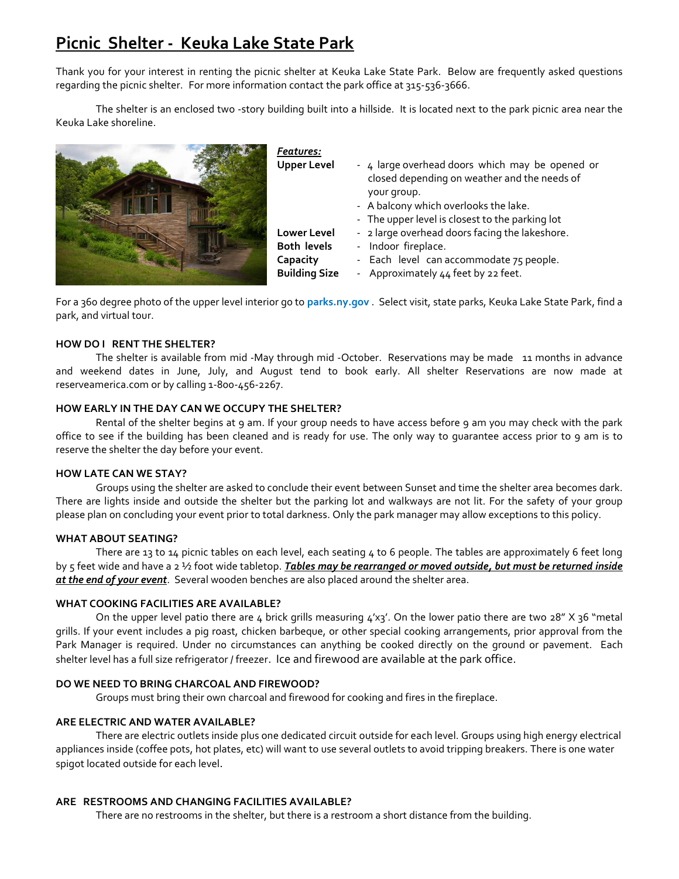# **Picnic Shelter - Keuka Lake State Park**

Thank you for your interest in renting the picnic shelter at Keuka Lake State Park. Below are frequently asked questions regarding the picnic shelter. For more information contact the park office at 315-536-3666.

The shelter is an enclosed two -story building built into a hillside. It is located next to the park picnic area near the Keuka Lake shoreline.



| Features:            |                                                                                                 |
|----------------------|-------------------------------------------------------------------------------------------------|
| <b>Upper Level</b>   | - 4 large overhead doors which may be opened or<br>closed depending on weather and the needs of |
|                      | your group.                                                                                     |
|                      | - A balcony which overlooks the lake.                                                           |
|                      | - The upper level is closest to the parking lot                                                 |
| <b>Lower Level</b>   | - 2 large overhead doors facing the lakeshore.                                                  |
| <b>Both levels</b>   | - Indoor fireplace.                                                                             |
| Capacity             | - Each level can accommodate 75 people.                                                         |
| <b>Building Size</b> | - Approximately 44 feet by 22 feet.                                                             |

For a 360 degree photo of the upper level interior go to **parks.ny.gov** . Select visit, state parks, Keuka Lake State Park, find a park, and virtual tour.

# **HOW DO I RENT THE SHELTER?**

The shelter is available from mid -May through mid -October. Reservations may be made 11 months in advance and weekend dates in June, July, and August tend to book early. All shelter Reservations are now made at reserveamerica.com or by calling 1-800-456-2267.

# **HOW EARLY IN THE DAY CAN WE OCCUPY THE SHELTER?**

Rental of the shelter begins at 9 am. If your group needs to have access before 9 am you may check with the park office to see if the building has been cleaned and is ready for use. The only way to guarantee access prior to 9 am is to reserve the shelter the day before your event.

# **HOW LATE CAN WE STAY?**

Groups using the shelter are asked to conclude their event between Sunset and time the shelter area becomes dark. There are lights inside and outside the shelter but the parking lot and walkways are not lit. For the safety of your group please plan on concluding your event prior to total darkness. Only the park manager may allow exceptions to this policy.

# **WHAT ABOUT SEATING?**

There are 13 to 14 picnic tables on each level, each seating 4 to 6 people. The tables are approximately 6 feet long by 5 feet wide and have a 2 ½ foot wide tabletop. *Tables may be rearranged or moved outside, but must be returned inside at the end of your event*. Several wooden benches are also placed around the shelter area.

# **WHAT COOKING FACILITIES ARE AVAILABLE?**

On the upper level patio there are 4 brick grills measuring 4'x3'. On the lower patio there are two 28" X 36 "metal grills. If your event includes a pig roast, chicken barbeque, or other special cooking arrangements, prior approval from the Park Manager is required. Under no circumstances can anything be cooked directly on the ground or pavement. Each shelter level has a full size refrigerator / freezer. Ice and firewood are available at the park office.

# **DO WE NEED TO BRING CHARCOAL AND FIREWOOD?**

Groups must bring their own charcoal and firewood for cooking and fires in the fireplace.

# **ARE ELECTRIC AND WATER AVAILABLE?**

There are electric outlets inside plus one dedicated circuit outside for each level. Groups using high energy electrical appliances inside (coffee pots, hot plates, etc) will want to use several outlets to avoid tripping breakers. There is one water spigot located outside for each level.

# **ARE RESTROOMS AND CHANGING FACILITIES AVAILABLE?**

There are no restrooms in the shelter, but there is a restroom a short distance from the building.